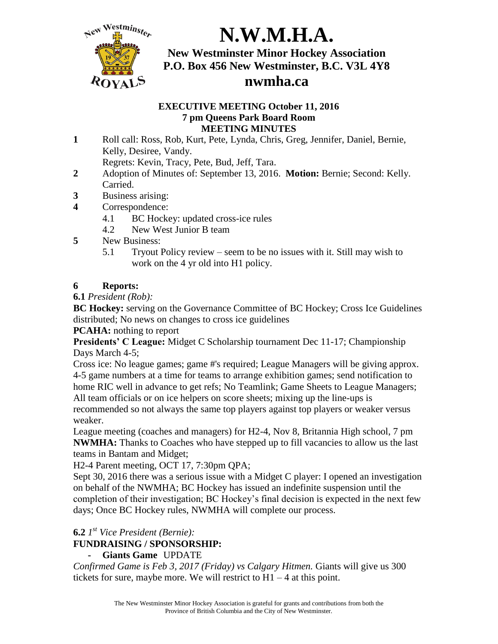

# **N.W.M.H.A.**

**New Westminster Minor Hockey Association P.O. Box 456 New Westminster, B.C. V3L 4Y8 nwmha.ca**

#### **EXECUTIVE MEETING October 11, 2016 7 pm Queens Park Board Room MEETING MINUTES**

**1** Roll call: Ross, Rob, Kurt, Pete, Lynda, Chris, Greg, Jennifer, Daniel, Bernie, Kelly, Desiree, Vandy.

Regrets: Kevin, Tracy, Pete, Bud, Jeff, Tara.

- **2** Adoption of Minutes of: September 13, 2016. **Motion:** Bernie; Second: Kelly. Carried.
- **3** Business arising:
- **4** Correspondence:
	- 4.1 BC Hockey: updated cross-ice rules
	- 4.2 New West Junior B team
- **5** New Business:
	- 5.1 Tryout Policy review seem to be no issues with it. Still may wish to work on the 4 yr old into H1 policy.

### **6 Reports:**

**6.1** *President (Rob):*

**BC Hockey:** serving on the Governance Committee of BC Hockey; Cross Ice Guidelines distributed; No news on changes to cross ice guidelines

**PCAHA:** nothing to report

**Presidents' C League:** Midget C Scholarship tournament Dec 11-17; Championship Days March 4-5;

Cross ice: No league games; game #'s required; League Managers will be giving approx. 4-5 game numbers at a time for teams to arrange exhibition games; send notification to home RIC well in advance to get refs; No Teamlink; Game Sheets to League Managers; All team officials or on ice helpers on score sheets; mixing up the line-ups is recommended so not always the same top players against top players or weaker versus

weaker.

League meeting (coaches and managers) for H2-4, Nov 8, Britannia High school, 7 pm **NWMHA:** Thanks to Coaches who have stepped up to fill vacancies to allow us the last teams in Bantam and Midget;

H2-4 Parent meeting, OCT 17, 7:30pm QPA;

Sept 30, 2016 there was a serious issue with a Midget C player: I opened an investigation on behalf of the NWMHA; BC Hockey has issued an indefinite suspension until the completion of their investigation; BC Hockey's final decision is expected in the next few days; Once BC Hockey rules, NWMHA will complete our process.

### **6.2** *1 st Vice President (Bernie):*

### **FUNDRAISING / SPONSORSHIP:**

### **- Giants Game** UPDATE

*Confirmed Game is Feb 3, 2017 (Friday) vs Calgary Hitmen.* Giants will give us 300 tickets for sure, maybe more. We will restrict to  $H1 - 4$  at this point.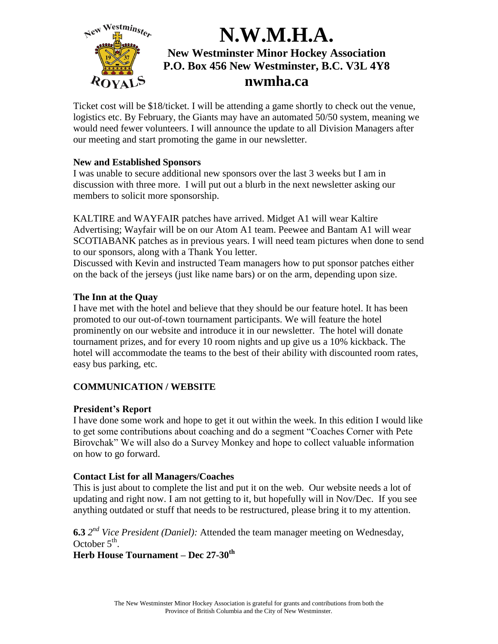

Ticket cost will be \$18/ticket. I will be attending a game shortly to check out the venue, logistics etc. By February, the Giants may have an automated 50/50 system, meaning we would need fewer volunteers. I will announce the update to all Division Managers after our meeting and start promoting the game in our newsletter.

#### **New and Established Sponsors**

I was unable to secure additional new sponsors over the last 3 weeks but I am in discussion with three more. I will put out a blurb in the next newsletter asking our members to solicit more sponsorship.

KALTIRE and WAYFAIR patches have arrived. Midget A1 will wear Kaltire Advertising; Wayfair will be on our Atom A1 team. Peewee and Bantam A1 will wear SCOTIABANK patches as in previous years. I will need team pictures when done to send to our sponsors, along with a Thank You letter.

Discussed with Kevin and instructed Team managers how to put sponsor patches either on the back of the jerseys (just like name bars) or on the arm, depending upon size.

#### **The Inn at the Quay**

I have met with the hotel and believe that they should be our feature hotel. It has been promoted to our out-of-town tournament participants. We will feature the hotel prominently on our website and introduce it in our newsletter. The hotel will donate tournament prizes, and for every 10 room nights and up give us a 10% kickback. The hotel will accommodate the teams to the best of their ability with discounted room rates, easy bus parking, etc.

### **COMMUNICATION / WEBSITE**

### **President's Report**

I have done some work and hope to get it out within the week. In this edition I would like to get some contributions about coaching and do a segment "Coaches Corner with Pete Birovchak" We will also do a Survey Monkey and hope to collect valuable information on how to go forward.

### **Contact List for all Managers/Coaches**

This is just about to complete the list and put it on the web. Our website needs a lot of updating and right now. I am not getting to it, but hopefully will in Nov/Dec. If you see anything outdated or stuff that needs to be restructured, please bring it to my attention.

**6.3** *2 nd Vice President (Daniel):* Attended the team manager meeting on Wednesday, October  $5^{\text{th}}$ .

**Herb House Tournament – Dec 27-30th**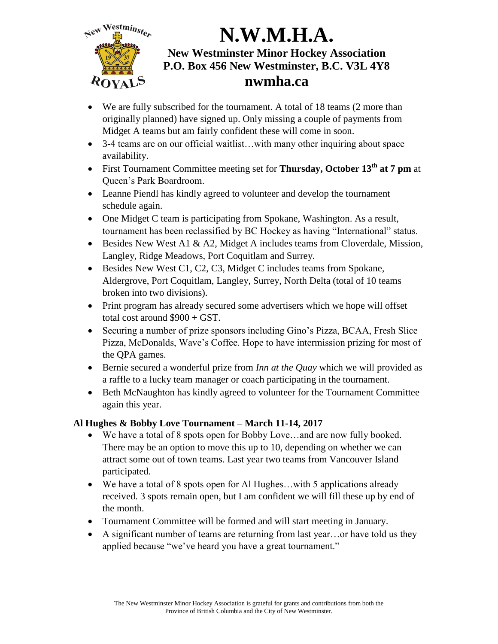

- We are fully subscribed for the tournament. A total of 18 teams (2 more than originally planned) have signed up. Only missing a couple of payments from Midget A teams but am fairly confident these will come in soon.
- 3-4 teams are on our official waitlist...with many other inquiring about space availability.
- First Tournament Committee meeting set for **Thursday, October 13th at 7 pm** at Queen's Park Boardroom.
- Leanne Piendl has kindly agreed to volunteer and develop the tournament schedule again.
- One Midget C team is participating from Spokane, Washington. As a result, tournament has been reclassified by BC Hockey as having "International" status.
- Besides New West A1 & A2, Midget A includes teams from Cloverdale, Mission, Langley, Ridge Meadows, Port Coquitlam and Surrey.
- Besides New West C1, C2, C3, Midget C includes teams from Spokane, Aldergrove, Port Coquitlam, Langley, Surrey, North Delta (total of 10 teams broken into two divisions).
- Print program has already secured some advertisers which we hope will offset total cost around \$900 + GST.
- Securing a number of prize sponsors including Gino's Pizza, BCAA, Fresh Slice Pizza, McDonalds, Wave's Coffee. Hope to have intermission prizing for most of the QPA games.
- Bernie secured a wonderful prize from *Inn at the Quay* which we will provided as a raffle to a lucky team manager or coach participating in the tournament.
- Beth McNaughton has kindly agreed to volunteer for the Tournament Committee again this year.

### **Al Hughes & Bobby Love Tournament – March 11-14, 2017**

- We have a total of 8 spots open for Bobby Love…and are now fully booked. There may be an option to move this up to 10, depending on whether we can attract some out of town teams. Last year two teams from Vancouver Island participated.
- We have a total of 8 spots open for Al Hughes…with 5 applications already received. 3 spots remain open, but I am confident we will fill these up by end of the month.
- Tournament Committee will be formed and will start meeting in January.
- A significant number of teams are returning from last year…or have told us they applied because "we've heard you have a great tournament."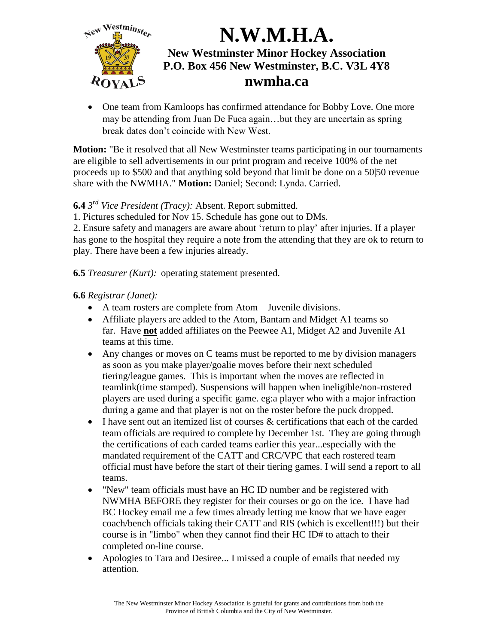

 One team from Kamloops has confirmed attendance for Bobby Love. One more may be attending from Juan De Fuca again…but they are uncertain as spring break dates don't coincide with New West.

**Motion:** "Be it resolved that all New Westminster teams participating in our tournaments are eligible to sell advertisements in our print program and receive 100% of the net proceeds up to \$500 and that anything sold beyond that limit be done on a 50|50 revenue share with the NWMHA." **Motion:** Daniel; Second: Lynda. Carried.

### **6.4** *3 rd Vice President (Tracy):* Absent. Report submitted.

1. Pictures scheduled for Nov 15. Schedule has gone out to DMs.

2. Ensure safety and managers are aware about 'return to play' after injuries. If a player has gone to the hospital they require a note from the attending that they are ok to return to play. There have been a few injuries already.

**6.5** *Treasurer (Kurt):* operating statement presented.

#### **6.6** *Registrar (Janet):*

- A team rosters are complete from Atom Juvenile divisions.
- Affiliate players are added to the Atom, Bantam and Midget A1 teams so far. Have **not** added affiliates on the Peewee A1, Midget A2 and Juvenile A1 teams at this time.
- Any changes or moves on C teams must be reported to me by division managers as soon as you make player/goalie moves before their next scheduled tiering/league games. This is important when the moves are reflected in teamlink(time stamped). Suspensions will happen when ineligible/non-rostered players are used during a specific game. eg:a player who with a major infraction during a game and that player is not on the roster before the puck dropped.
- I have sent out an itemized list of courses & certifications that each of the carded team officials are required to complete by December 1st. They are going through the certifications of each carded teams earlier this year...especially with the mandated requirement of the CATT and CRC/VPC that each rostered team official must have before the start of their tiering games. I will send a report to all teams.
- "New" team officials must have an HC ID number and be registered with NWMHA BEFORE they register for their courses or go on the ice. I have had BC Hockey email me a few times already letting me know that we have eager coach/bench officials taking their CATT and RIS (which is excellent!!!) but their course is in "limbo" when they cannot find their HC ID# to attach to their completed on-line course.
- Apologies to Tara and Desiree... I missed a couple of emails that needed my attention.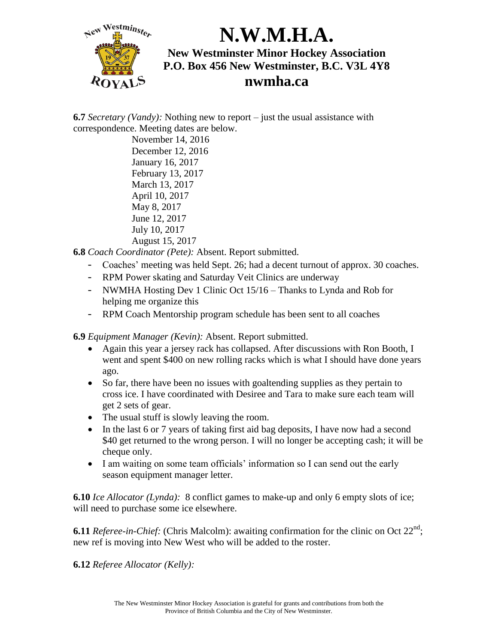

**6.7** *Secretary (Vandy):* Nothing new to report – just the usual assistance with correspondence. Meeting dates are below.

November 14, 2016 December 12, 2016 January 16, 2017 February 13, 2017 March 13, 2017 April 10, 2017 May 8, 2017 June 12, 2017 July 10, 2017 August 15, 2017

**6.8** *Coach Coordinator (Pete):* Absent. Report submitted.

- Coaches' meeting was held Sept. 26; had a decent turnout of approx. 30 coaches.
- RPM Power skating and Saturday Veit Clinics are underway
- NWMHA Hosting Dev 1 Clinic Oct 15/16 Thanks to Lynda and Rob for helping me organize this
- RPM Coach Mentorship program schedule has been sent to all coaches

**6.9** *Equipment Manager (Kevin):* Absent. Report submitted.

- Again this year a jersey rack has collapsed. After discussions with Ron Booth, I went and spent \$400 on new rolling racks which is what I should have done years ago.
- So far, there have been no issues with goaltending supplies as they pertain to cross ice. I have coordinated with Desiree and Tara to make sure each team will get 2 sets of gear.
- The usual stuff is slowly leaving the room.
- In the last 6 or 7 years of taking first aid bag deposits, I have now had a second \$40 get returned to the wrong person. I will no longer be accepting cash; it will be cheque only.
- I am waiting on some team officials' information so I can send out the early season equipment manager letter.

**6.10** *Ice Allocator (Lynda):* 8 conflict games to make-up and only 6 empty slots of ice; will need to purchase some ice elsewhere.

**6.11** *Referee-in-Chief:* (Chris Malcolm): awaiting confirmation for the clinic on Oct  $22<sup>nd</sup>$ ; new ref is moving into New West who will be added to the roster.

**6.12** *Referee Allocator (Kelly):*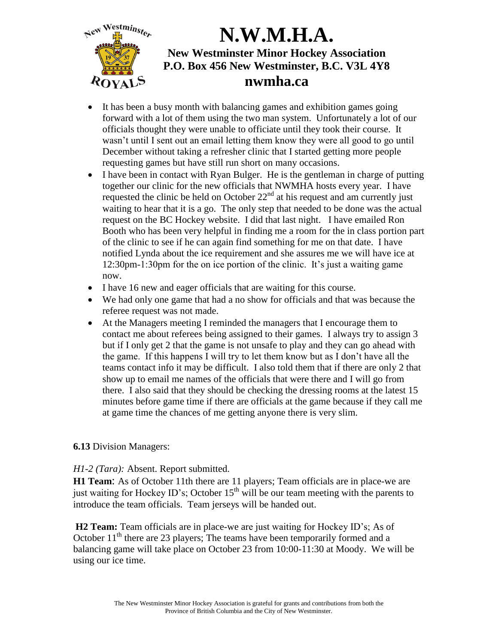

- It has been a busy month with balancing games and exhibition games going forward with a lot of them using the two man system. Unfortunately a lot of our officials thought they were unable to officiate until they took their course. It wasn't until I sent out an email letting them know they were all good to go until December without taking a refresher clinic that I started getting more people requesting games but have still run short on many occasions.
- I have been in contact with Ryan Bulger. He is the gentleman in charge of putting together our clinic for the new officials that NWMHA hosts every year. I have requested the clinic be held on October  $22<sup>nd</sup>$  at his request and am currently just waiting to hear that it is a go. The only step that needed to be done was the actual request on the BC Hockey website. I did that last night. I have emailed Ron Booth who has been very helpful in finding me a room for the in class portion part of the clinic to see if he can again find something for me on that date. I have notified Lynda about the ice requirement and she assures me we will have ice at 12:30pm-1:30pm for the on ice portion of the clinic. It's just a waiting game now.
- I have 16 new and eager officials that are waiting for this course.
- We had only one game that had a no show for officials and that was because the referee request was not made.
- At the Managers meeting I reminded the managers that I encourage them to contact me about referees being assigned to their games. I always try to assign 3 but if I only get 2 that the game is not unsafe to play and they can go ahead with the game. If this happens I will try to let them know but as I don't have all the teams contact info it may be difficult. I also told them that if there are only 2 that show up to email me names of the officials that were there and I will go from there. I also said that they should be checking the dressing rooms at the latest 15 minutes before game time if there are officials at the game because if they call me at game time the chances of me getting anyone there is very slim.

### **6.13** Division Managers:

#### *H1-2 (Tara):* Absent. Report submitted.

**H1 Team**: As of October 11th there are 11 players; Team officials are in place-we are just waiting for Hockey ID's; October  $15<sup>th</sup>$  will be our team meeting with the parents to introduce the team officials. Team jerseys will be handed out.

**H2 Team:** Team officials are in place-we are just waiting for Hockey ID's; As of October  $11<sup>th</sup>$  there are 23 players; The teams have been temporarily formed and a balancing game will take place on October 23 from 10:00-11:30 at Moody. We will be using our ice time.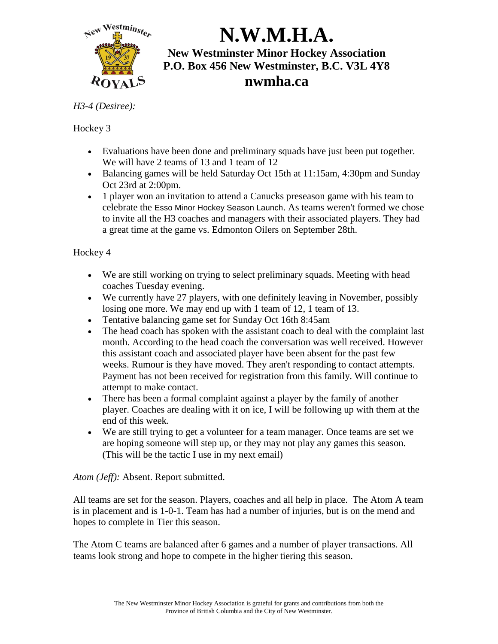

#### *H3-4 (Desiree):*

### Hockey 3

- Evaluations have been done and preliminary squads have just been put together. We will have 2 teams of 13 and 1 team of 12
- Balancing games will be held Saturday Oct 15th at 11:15am, 4:30pm and Sunday Oct 23rd at 2:00pm.
- 1 player won an invitation to attend a Canucks preseason game with his team to celebrate the Esso Minor Hockey Season Launch. As teams weren't formed we chose to invite all the H3 coaches and managers with their associated players. They had a great time at the game vs. Edmonton Oilers on September 28th.

### Hockey 4

- We are still working on trying to select preliminary squads. Meeting with head coaches Tuesday evening.
- We currently have 27 players, with one definitely leaving in November, possibly losing one more. We may end up with 1 team of 12, 1 team of 13.
- Tentative balancing game set for Sunday Oct 16th 8:45am
- The head coach has spoken with the assistant coach to deal with the complaint last month. According to the head coach the conversation was well received. However this assistant coach and associated player have been absent for the past few weeks. Rumour is they have moved. They aren't responding to contact attempts. Payment has not been received for registration from this family. Will continue to attempt to make contact.
- There has been a formal complaint against a player by the family of another player. Coaches are dealing with it on ice, I will be following up with them at the end of this week.
- We are still trying to get a volunteer for a team manager. Once teams are set we are hoping someone will step up, or they may not play any games this season. (This will be the tactic I use in my next email)

### *Atom (Jeff):* Absent. Report submitted.

All teams are set for the season. Players, coaches and all help in place. The Atom A team is in placement and is 1-0-1. Team has had a number of injuries, but is on the mend and hopes to complete in Tier this season.

The Atom C teams are balanced after 6 games and a number of player transactions. All teams look strong and hope to compete in the higher tiering this season.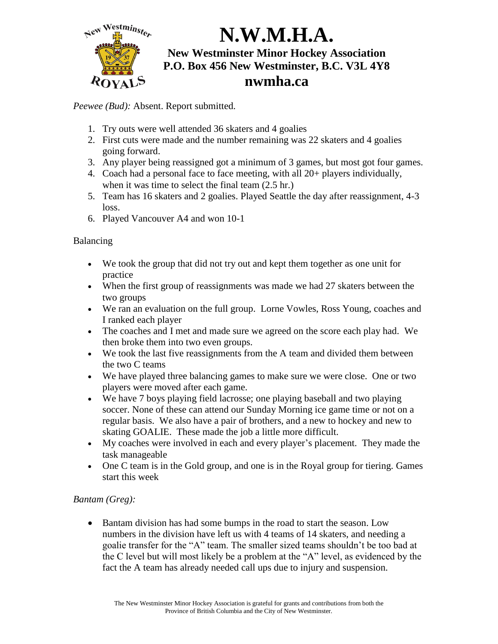

*Peewee (Bud):* Absent. Report submitted.

- 1. Try outs were well attended 36 skaters and 4 goalies
- 2. First cuts were made and the number remaining was 22 skaters and 4 goalies going forward.
- 3. Any player being reassigned got a minimum of 3 games, but most got four games.
- 4. Coach had a personal face to face meeting, with all 20+ players individually, when it was time to select the final team  $(2.5 \text{ hr.})$
- 5. Team has 16 skaters and 2 goalies. Played Seattle the day after reassignment, 4-3 loss.
- 6. Played Vancouver A4 and won 10-1

Balancing

- We took the group that did not try out and kept them together as one unit for practice
- When the first group of reassignments was made we had 27 skaters between the two groups
- We ran an evaluation on the full group. Lorne Vowles, Ross Young, coaches and I ranked each player
- The coaches and I met and made sure we agreed on the score each play had. We then broke them into two even groups.
- We took the last five reassignments from the A team and divided them between the two C teams
- We have played three balancing games to make sure we were close. One or two players were moved after each game.
- We have 7 boys playing field lacrosse; one playing baseball and two playing soccer. None of these can attend our Sunday Morning ice game time or not on a regular basis. We also have a pair of brothers, and a new to hockey and new to skating GOALIE. These made the job a little more difficult.
- My coaches were involved in each and every player's placement. They made the task manageable
- One C team is in the Gold group, and one is in the Royal group for tiering. Games start this week

### *Bantam (Greg):*

• Bantam division has had some bumps in the road to start the season. Low numbers in the division have left us with 4 teams of 14 skaters, and needing a goalie transfer for the "A" team. The smaller sized teams shouldn't be too bad at the C level but will most likely be a problem at the "A" level, as evidenced by the fact the A team has already needed call ups due to injury and suspension.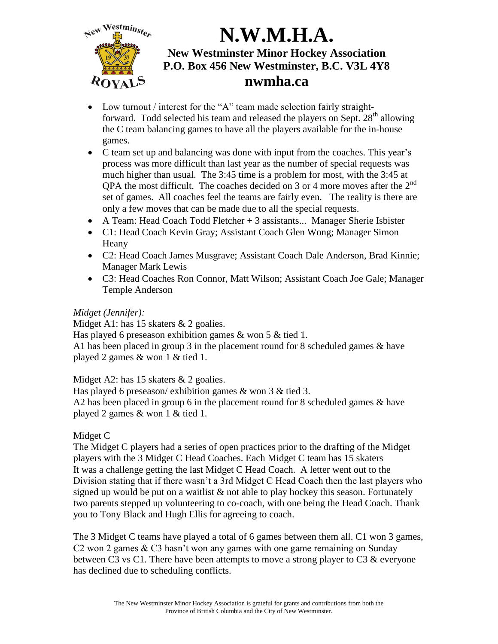

- Low turnout / interest for the "A" team made selection fairly straightforward. Todd selected his team and released the players on Sept.  $28<sup>th</sup>$  allowing the C team balancing games to have all the players available for the in-house games.
- C team set up and balancing was done with input from the coaches. This year's process was more difficult than last year as the number of special requests was much higher than usual. The 3:45 time is a problem for most, with the 3:45 at QPA the most difficult. The coaches decided on 3 or 4 more moves after the  $2<sup>nd</sup>$ set of games. All coaches feel the teams are fairly even. The reality is there are only a few moves that can be made due to all the special requests.
- $\bullet$  A Team: Head Coach Todd Fletcher + 3 assistants... Manager Sherie Isbister
- C1: Head Coach Kevin Gray; Assistant Coach Glen Wong; Manager Simon Heany
- C2: Head Coach James Musgrave; Assistant Coach Dale Anderson, Brad Kinnie; Manager Mark Lewis
- C3: Head Coaches Ron Connor, Matt Wilson; Assistant Coach Joe Gale; Manager Temple Anderson

#### *Midget (Jennifer):*

Midget A1: has 15 skaters & 2 goalies.

Has played 6 preseason exhibition games & won 5 & tied 1.

A1 has been placed in group 3 in the placement round for 8 scheduled games & have played 2 games & won 1 & tied 1.

Midget A2: has 15 skaters & 2 goalies.

Has played 6 preseason/ exhibition games & won 3 & tied 3. A2 has been placed in group 6 in the placement round for 8 scheduled games & have played 2 games & won 1 & tied 1.

#### Midget C

The Midget C players had a series of open practices prior to the drafting of the Midget players with the 3 Midget C Head Coaches. Each Midget C team has 15 skaters It was a challenge getting the last Midget C Head Coach. A letter went out to the Division stating that if there wasn't a 3rd Midget C Head Coach then the last players who signed up would be put on a waitlist  $\&$  not able to play hockey this season. Fortunately two parents stepped up volunteering to co-coach, with one being the Head Coach. Thank you to Tony Black and Hugh Ellis for agreeing to coach.

The 3 Midget C teams have played a total of 6 games between them all. C1 won 3 games, C2 won 2 games & C3 hasn't won any games with one game remaining on Sunday between C3 vs C1. There have been attempts to move a strong player to C3 & everyone has declined due to scheduling conflicts.